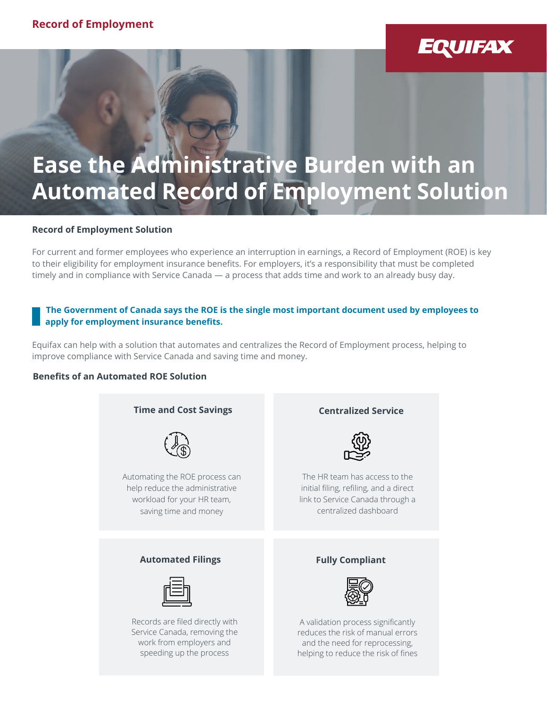## **EQUIFAX**

# **Ease the Administrative Burden with an Automated Record of Employment Solution**

#### **Record of Employment Solution**

For current and former employees who experience an interruption in earnings, a Record of Employment (ROE) is key to their eligibility for employment insurance benefits. For employers, it's a responsibility that must be completed timely and in compliance with Service Canada — a process that adds time and work to an already busy day.

#### **The Government of Canada says the ROE is the single most important document used by employees to apply for employment insurance benefits.**

Equifax can help with a solution that automates and centralizes the Record of Employment process, helping to improve compliance with Service Canada and saving time and money.

#### **Benefits of an Automated ROE Solution**



helping to reduce the risk of fines